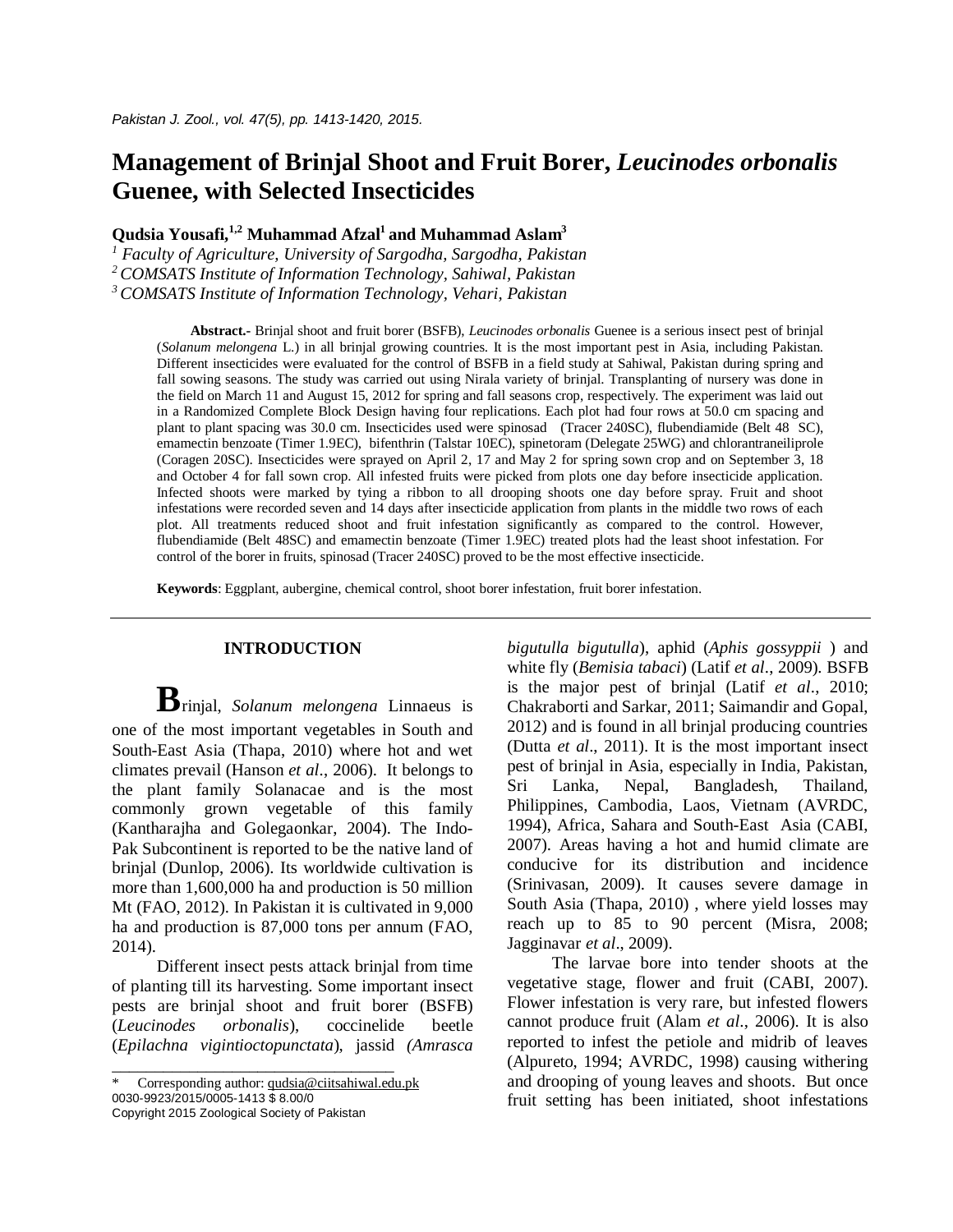# **Management of Brinjal Shoot and Fruit Borer,** *Leucinodes orbonalis* **Guenee, with Selected Insecticides**

**Qudsia Yousafi, 1,2 Muhammad Afzal<sup>1</sup>and Muhammad Aslam<sup>3</sup>**

*<sup>1</sup> Faculty of Agriculture, University of Sargodha, Sargodha, Pakistan <sup>2</sup>COMSATS Institute of Information Technology, Sahiwal, Pakistan <sup>3</sup>COMSATS Institute of Information Technology, Vehari, Pakistan*

**Abstract.-** Brinjal shoot and fruit borer (BSFB), *Leucinodes orbonalis* Guenee is a serious insect pest of brinjal (*Solanum melongena* L.) in all brinjal growing countries. It is the most important pest in Asia, including Pakistan. Different insecticides were evaluated for the control of BSFB in a field study at Sahiwal, Pakistan during spring and fall sowing seasons. The study was carried out using Nirala variety of brinjal. Transplanting of nursery was done in the field on March 11 and August 15, 2012 for spring and fall seasons crop, respectively. The experiment was laid out in a Randomized Complete Block Design having four replications. Each plot had four rows at 50.0 cm spacing and plant to plant spacing was 30.0 cm. Insecticides used were spinosad (Tracer 240SC), flubendiamide (Belt 48 SC), emamectin benzoate (Timer 1.9EC), bifenthrin (Talstar 10EC), spinetoram (Delegate 25WG) and chlorantraneiliprole (Coragen 20SC). Insecticides were sprayed on April 2, 17 and May 2 for spring sown crop and on September 3, 18 and October 4 for fall sown crop. All infested fruits were picked from plots one day before insecticide application. Infected shoots were marked by tying a ribbon to all drooping shoots one day before spray. Fruit and shoot infestations were recorded seven and 14 days after insecticide application from plants in the middle two rows of each plot. All treatments reduced shoot and fruit infestation significantly as compared to the control. However, flubendiamide (Belt 48SC) and emamectin benzoate (Timer 1.9EC) treated plots had the least shoot infestation. For control of the borer in fruits, spinosad (Tracer 240SC) proved to be the most effective insecticide.

**Keywords**: Eggplant, aubergine, chemical control, shoot borer infestation, fruit borer infestation.

#### **INTRODUCTION**

**B**rinjal, *Solanum melongena* Linnaeus is one of the most important vegetables in South and South-East Asia (Thapa, 2010) where hot and wet climates prevail (Hanson *et al*., 2006). It belongs to the plant family Solanacae and is the most commonly grown vegetable of this family (Kantharajha and Golegaonkar, 2004). The Indo-Pak Subcontinent is reported to be the native land of brinjal (Dunlop, 2006). Its worldwide cultivation is more than 1,600,000 ha and production is 50 million Mt (FAO, 2012). In Pakistan it is cultivated in 9,000 ha and production is 87,000 tons per annum (FAO, 2014).

Different insect pests attack brinjal from time of planting till its harvesting. Some important insect pests are brinjal shoot and fruit borer (BSFB) (*Leucinodes orbonalis*), coccinelide beetle (*Epilachna vigintioctopunctata*), jassid *(Amrasca* 

Corresponding author: qudsia@ciitsahiwal.edu.pk 0030-9923/2015/0005-1413 \$ 8.00/0

\_\_\_\_\_\_\_\_\_\_\_\_\_\_\_\_\_\_\_\_\_\_\_\_\_\_\_\_\_\_\_\_\_

Copyright 2015 Zoological Society of Pakistan

*bigutulla bigutulla*), aphid (*Aphis gossyppii* ) and white fly (*Bemisia tabaci*) (Latif *et al*., 2009). BSFB is the major pest of brinjal (Latif *et al*., 2010; Chakraborti and Sarkar, 2011; Saimandir and Gopal, 2012) and is found in all brinjal producing countries (Dutta *et al*., 2011). It is the most important insect pest of brinjal in Asia, especially in India, Pakistan, Sri Lanka, Nepal, Bangladesh, Thailand, Philippines, Cambodia, Laos, Vietnam (AVRDC, 1994), Africa, Sahara and South-East Asia (CABI, 2007). Areas having a hot and humid climate are conducive for its distribution and incidence (Srinivasan, 2009). It causes severe damage in South Asia (Thapa, 2010) , where yield losses may reach up to 85 to 90 percent (Misra, 2008; Jagginavar *et al*., 2009).

The larvae bore into tender shoots at the vegetative stage, flower and fruit (CABI, 2007). Flower infestation is very rare, but infested flowers cannot produce fruit (Alam *et al*., 2006). It is also reported to infest the petiole and midrib of leaves (Alpureto, 1994; AVRDC, 1998) causing withering and drooping of young leaves and shoots. But once fruit setting has been initiated, shoot infestations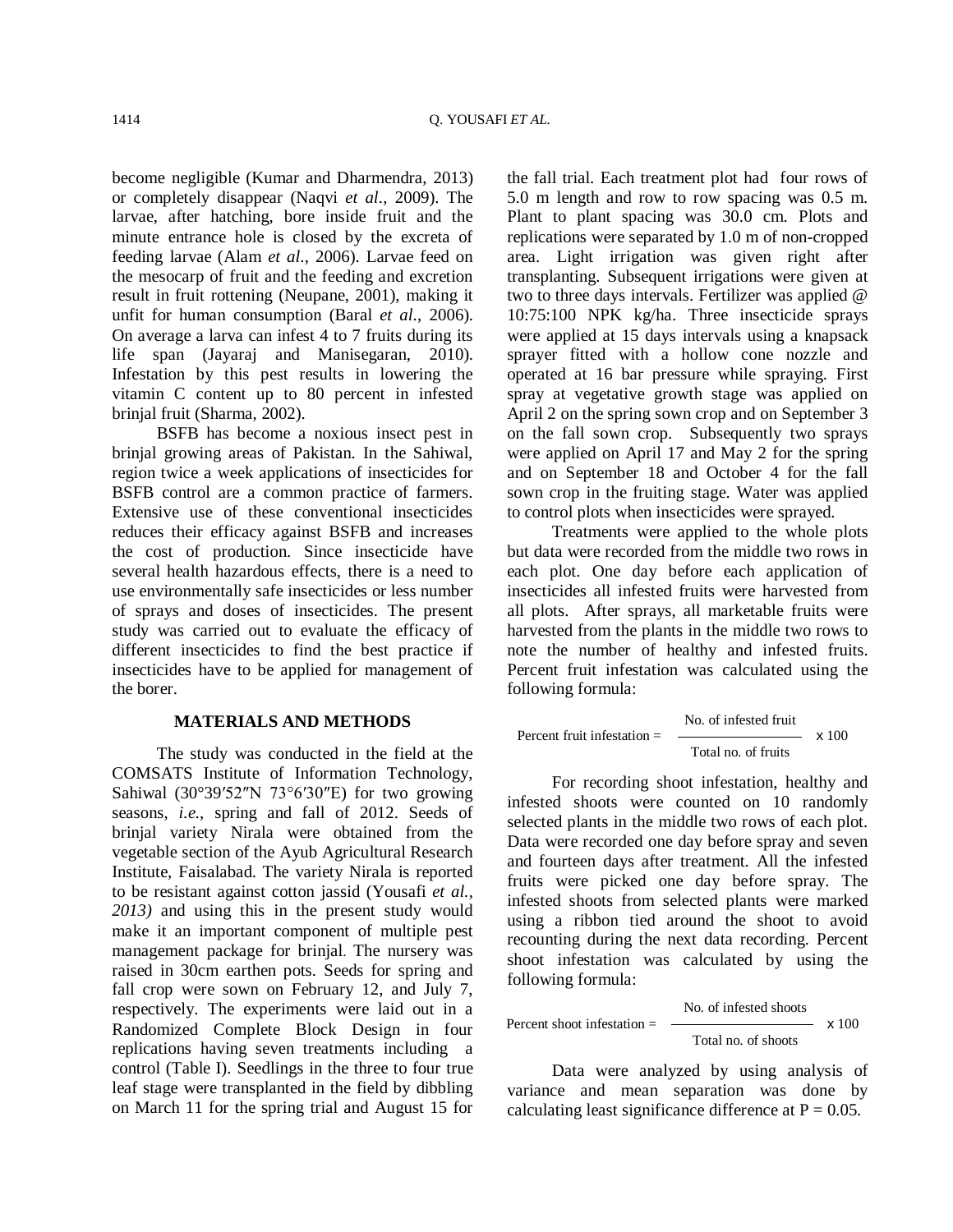become negligible (Kumar and Dharmendra, 2013) or completely disappear (Naqvi *et al*., 2009). The larvae, after hatching, bore inside fruit and the minute entrance hole is closed by the excreta of feeding larvae (Alam *et al*., 2006). Larvae feed on the mesocarp of fruit and the feeding and excretion result in fruit rottening (Neupane, 2001), making it unfit for human consumption (Baral *et al*., 2006). On average a larva can infest 4 to 7 fruits during its life span (Jayaraj and Manisegaran, 2010). Infestation by this pest results in lowering the vitamin C content up to 80 percent in infested brinjal fruit (Sharma, 2002).

BSFB has become a noxious insect pest in brinjal growing areas of Pakistan. In the Sahiwal, region twice a week applications of insecticides for BSFB control are a common practice of farmers. Extensive use of these conventional insecticides reduces their efficacy against BSFB and increases the cost of production. Since insecticide have several health hazardous effects, there is a need to use environmentally safe insecticides or less number of sprays and doses of insecticides. The present study was carried out to evaluate the efficacy of different insecticides to find the best practice if insecticides have to be applied for management of the borer.

#### **MATERIALS AND METHODS**

The study was conducted in the field at the COMSATS Institute of Information Technology, Sahiwal (30°39′52″N 73°6′30″E) for two growing seasons, *i.e.*, spring and fall of 2012. Seeds of brinjal variety Nirala were obtained from the vegetable section of the Ayub Agricultural Research Institute, Faisalabad. The variety Nirala is reported to be resistant against cotton jassid (Yousafi *et al., 2013)* and using this in the present study would make it an important component of multiple pest management package for brinjal. The nursery was raised in 30cm earthen pots. Seeds for spring and fall crop were sown on February 12, and July 7, respectively. The experiments were laid out in a Randomized Complete Block Design in four replications having seven treatments including a control (Table I). Seedlings in the three to four true leaf stage were transplanted in the field by dibbling on March 11 for the spring trial and August 15 for the fall trial. Each treatment plot had four rows of 5.0 m length and row to row spacing was 0.5 m. Plant to plant spacing was 30.0 cm. Plots and replications were separated by 1.0 m of non-cropped area. Light irrigation was given right after transplanting. Subsequent irrigations were given at two to three days intervals. Fertilizer was applied @ 10:75:100 NPK kg/ha. Three insecticide sprays were applied at 15 days intervals using a knapsack sprayer fitted with a hollow cone nozzle and operated at 16 bar pressure while spraying. First spray at vegetative growth stage was applied on April 2 on the spring sown crop and on September 3 on the fall sown crop. Subsequently two sprays were applied on April 17 and May 2 for the spring and on September 18 and October 4 for the fall sown crop in the fruiting stage. Water was applied to control plots when insecticides were sprayed.

Treatments were applied to the whole plots but data were recorded from the middle two rows in each plot. One day before each application of insecticides all infested fruits were harvested from all plots. After sprays, all marketable fruits were harvested from the plants in the middle two rows to note the number of healthy and infested fruits. Percent fruit infestation was calculated using the following formula:

Percent fruit infestation = 
$$
\frac{No. of infected fruit}{Total no. of fruits} \times 100
$$

For recording shoot infestation, healthy and infested shoots were counted on 10 randomly selected plants in the middle two rows of each plot. Data were recorded one day before spray and seven and fourteen days after treatment. All the infested fruits were picked one day before spray. The infested shoots from selected plants were marked using a ribbon tied around the shoot to avoid recounting during the next data recording. Percent shoot infestation was calculated by using the following formula:

Percent shoot infestation = 
$$
\frac{\text{No. of infected shoots}}{\text{Total no. of shoots}} \times 100
$$

Data were analyzed by using analysis of variance and mean separation was done by calculating least significance difference at  $P = 0.05$ .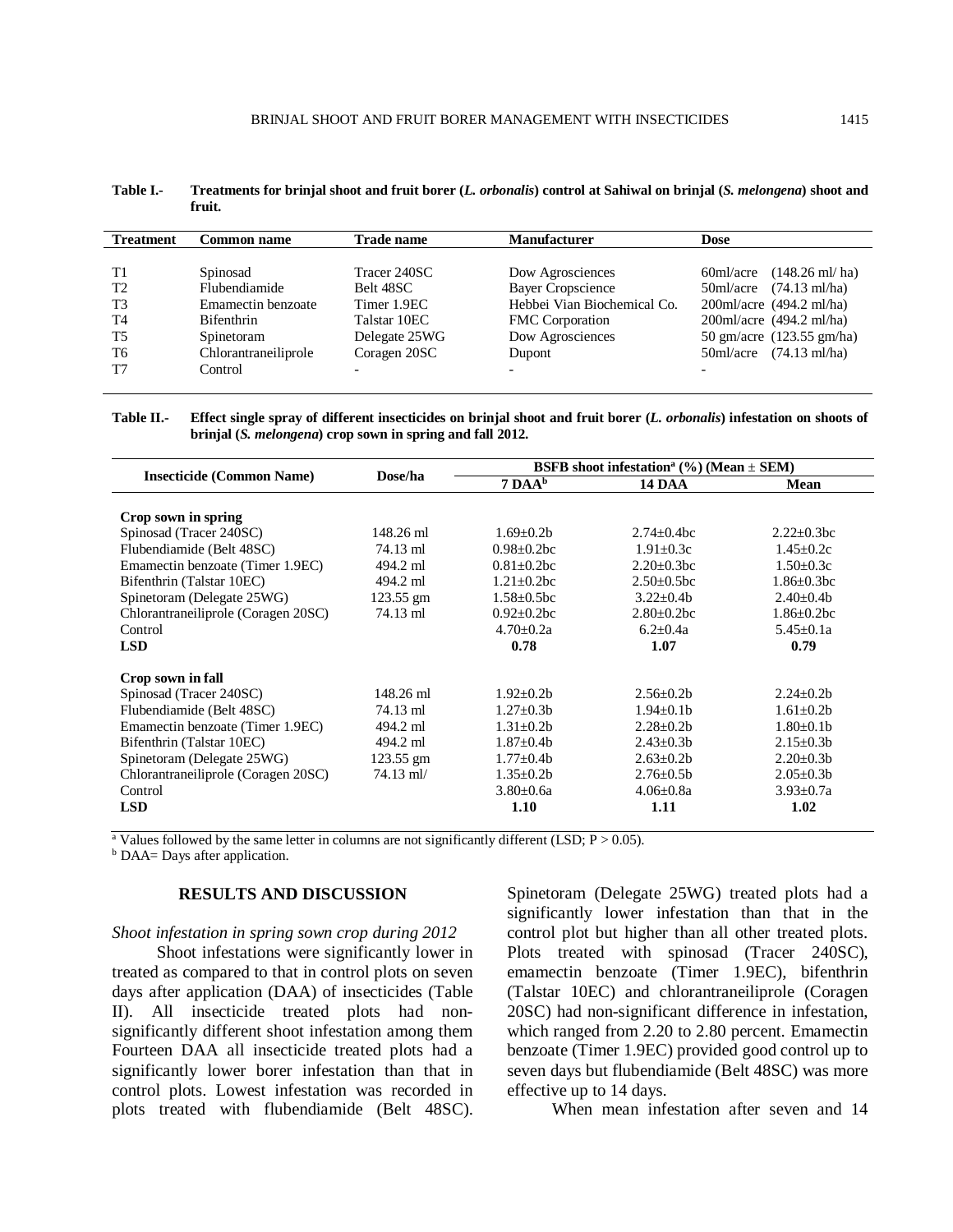| Table I.- | Treatments for brinjal shoot and fruit borer (L. orbonalis) control at Sahiwal on brinjal (S. melongena) shoot and |
|-----------|--------------------------------------------------------------------------------------------------------------------|
|           | fruit.                                                                                                             |

| <b>Treatment</b> | <b>Common name</b>   | <b>Trade name</b>        | <b>Manufacturer</b>         | Dose                                  |
|------------------|----------------------|--------------------------|-----------------------------|---------------------------------------|
|                  |                      |                          |                             |                                       |
| T1               | Spinosad             | Tracer 240SC             | Dow Agrosciences            | $(148.26 \text{ ml/ha})$<br>60ml/acre |
| T <sub>2</sub>   | Flubendiamide        | Belt 48SC                | <b>Bayer Cropscience</b>    | $50 \text{ml/acre}$ (74.13 ml/ha)     |
| T <sub>3</sub>   | Emamectin benzoate   | Timer 1.9EC              | Hebbei Vian Biochemical Co. | $200$ ml/acre (494.2 ml/ha)           |
| T <sub>4</sub>   | <b>Bifenthrin</b>    | Talstar 10EC             | <b>FMC</b> Corporation      | $200$ ml/acre $(494.2 \text{ ml/ha})$ |
| <b>T5</b>        | Spinetoram           | Delegate 25WG            | Dow Agrosciences            | 50 gm/acre (123.55 gm/ha)             |
| T6               | Chlorantraneiliprole | Coragen 20SC             | Dupont                      | $50 \text{ml/acre}$ (74.13 ml/ha)     |
| T7               | Control              | $\overline{\phantom{0}}$ | $\overline{\phantom{0}}$    |                                       |

**Table II.- Effect single spray of different insecticides on brinjal shoot and fruit borer (***L. orbonalis***) infestation on shoots of brinjal (***S. melongena***) crop sown in spring and fall 2012.**

|                                     |             | BSFB shoot infestation <sup>a</sup> (%) (Mean $\pm$ SEM) |                   |                   |  |
|-------------------------------------|-------------|----------------------------------------------------------|-------------------|-------------------|--|
| <b>Insecticide</b> (Common Name)    | Dose/ha     | $7 \text{ }DAAb$                                         | <b>14 DAA</b>     | Mean              |  |
|                                     |             |                                                          |                   |                   |  |
| Crop sown in spring                 |             |                                                          |                   |                   |  |
| Spinosad (Tracer 240SC)             | 148.26 ml   | $1.69 \pm 0.2b$                                          | $2.74+0.4bc$      | $2.22 \pm 0.3$ bc |  |
| Flubendiamide (Belt 48SC)           | 74.13 ml    | $0.98 \pm 0.2$ bc                                        | $1.91 \pm 0.3c$   | $1.45 \pm 0.2c$   |  |
| Emamectin benzoate (Timer 1.9EC)    | 494.2 ml    | $0.81 \pm 0.2$ bc                                        | $2.20+0.3bc$      | $1.50 \pm 0.3c$   |  |
| Bifenthrin (Talstar 10EC)           | 494.2 ml    | $1.21 \pm 0.2$ bc                                        | $2.50 \pm 0.5$ bc | $1.86 \pm 0.3$ bc |  |
| Spinetoram (Delegate 25WG)          | $123.55$ gm | $1.58 \pm 0.5$ bc                                        | $3.22 \pm 0.4b$   | $2.40 \pm 0.4b$   |  |
| Chlorantraneiliprole (Coragen 20SC) | 74.13 ml    | $0.92 \pm 0.2$ bc                                        | $2.80+0.2bc$      | $1.86 + 0.2$ bc   |  |
| Control                             |             | $4.70 + 0.2a$                                            | $6.2 + 0.4a$      | $5.45 \pm 0.1a$   |  |
| <b>LSD</b>                          |             | 0.78                                                     | 1.07              | 0.79              |  |
|                                     |             |                                                          |                   |                   |  |
| Crop sown in fall                   |             |                                                          |                   |                   |  |
| Spinosad (Tracer 240SC)             | 148.26 ml   | $1.92 \pm 0.2 b$                                         | $2.56 \pm 0.2b$   | $2.24 \pm 0.2b$   |  |
| Flubendiamide (Belt 48SC)           | 74.13 ml    | $1.27 \pm 0.3b$                                          | $1.94 + 0.1h$     | $1.61 + 0.2h$     |  |
| Emamectin benzoate (Timer 1.9EC)    | 494.2 ml    | $1.31 + 0.2h$                                            | $2.28 + 0.2h$     | $1.80+0.1b$       |  |
| Bifenthrin (Talstar 10EC)           | 494.2 ml    | $1.87 \pm 0.4b$                                          | $2.43 \pm 0.3 b$  | $2.15 \pm 0.3 b$  |  |
| Spinetoram (Delegate 25WG)          | $123.55$ gm | $1.77 \pm 0.4b$                                          | $2.63 \pm 0.2b$   | $2.20 \pm 0.3 b$  |  |
| Chlorantraneiliprole (Coragen 20SC) | $74.13$ ml/ | $1.35 \pm 0.2b$                                          | $2.76 \pm 0.5b$   | $2.05 \pm 0.3 b$  |  |
| Control                             |             | $3.80 \pm 0.6a$                                          | $4.06 \pm 0.8a$   | $3.93 \pm 0.7a$   |  |
| <b>LSD</b>                          |             | 1.10                                                     | 1.11              | 1.02              |  |

<sup>a</sup> Values followed by the same letter in columns are not significantly different (LSD;  $P > 0.05$ ).

**b** DAA= Days after application.

## **RESULTS AND DISCUSSION**

## *Shoot infestation in spring sown crop during 2012*

Shoot infestations were significantly lower in treated as compared to that in control plots on seven days after application (DAA) of insecticides (Table II). All insecticide treated plots had nonsignificantly different shoot infestation among them Fourteen DAA all insecticide treated plots had a significantly lower borer infestation than that in control plots. Lowest infestation was recorded in plots treated with flubendiamide (Belt 48SC). Spinetoram (Delegate 25WG) treated plots had a significantly lower infestation than that in the control plot but higher than all other treated plots. Plots treated with spinosad (Tracer 240SC), emamectin benzoate (Timer 1.9EC), bifenthrin (Talstar 10EC) and chlorantraneiliprole (Coragen 20SC) had non-significant difference in infestation, which ranged from 2.20 to 2.80 percent. Emamectin benzoate (Timer 1.9EC) provided good control up to seven days but flubendiamide (Belt 48SC) was more effective up to 14 days.

When mean infestation after seven and 14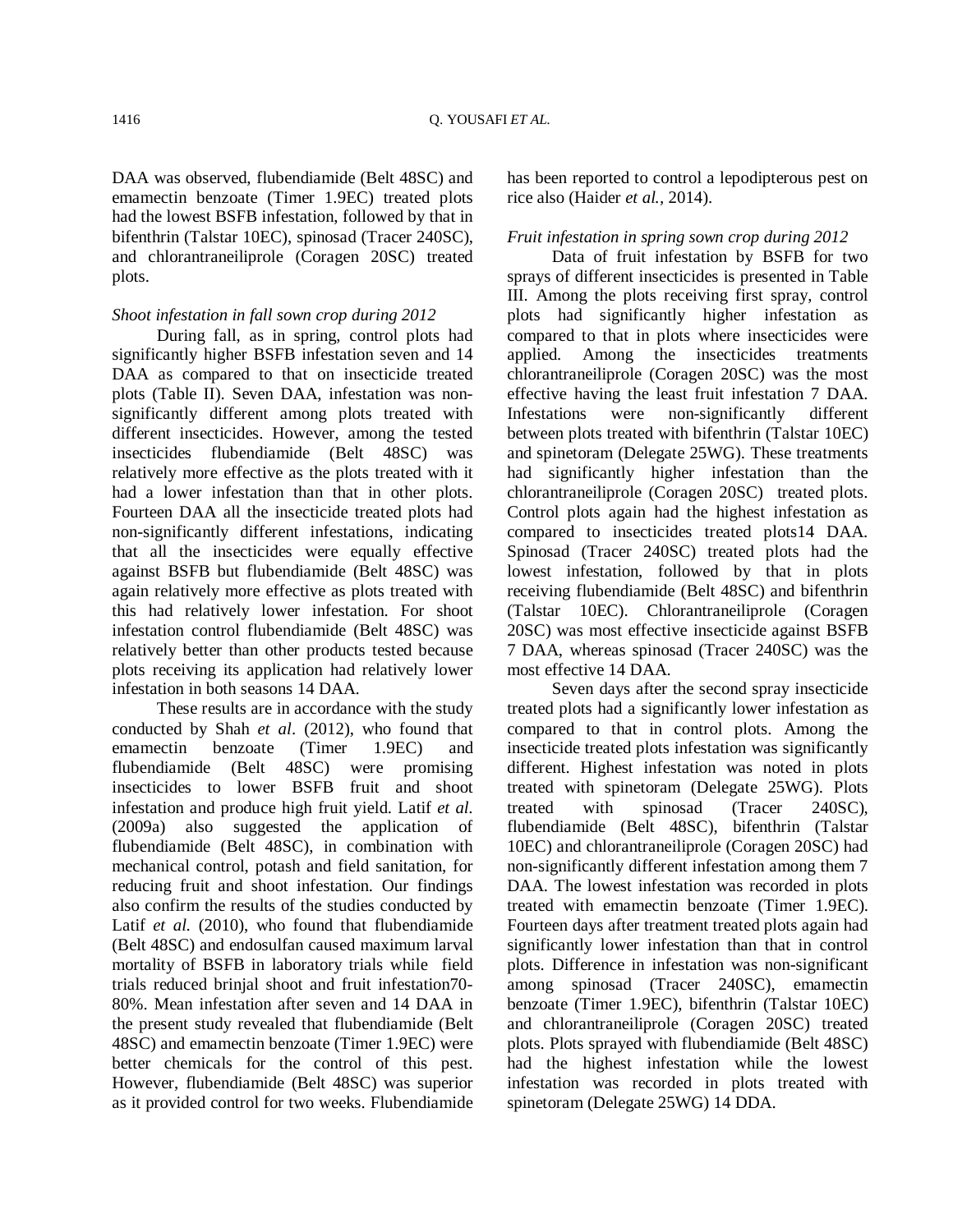DAA was observed, flubendiamide (Belt 48SC) and emamectin benzoate (Timer 1.9EC) treated plots had the lowest BSFB infestation, followed by that in bifenthrin (Talstar 10EC), spinosad (Tracer 240SC), and chlorantraneiliprole (Coragen 20SC) treated plots.

## *Shoot infestation in fall sown crop during 2012*

During fall, as in spring, control plots had significantly higher BSFB infestation seven and 14 DAA as compared to that on insecticide treated plots (Table II). Seven DAA, infestation was nonsignificantly different among plots treated with different insecticides. However, among the tested insecticides flubendiamide (Belt 48SC) was relatively more effective as the plots treated with it had a lower infestation than that in other plots. Fourteen DAA all the insecticide treated plots had non-significantly different infestations, indicating that all the insecticides were equally effective against BSFB but flubendiamide (Belt 48SC) was again relatively more effective as plots treated with this had relatively lower infestation. For shoot infestation control flubendiamide (Belt 48SC) was relatively better than other products tested because plots receiving its application had relatively lower infestation in both seasons 14 DAA.

These results are in accordance with the study conducted by Shah *et al*. (2012), who found that emamectin benzoate (Timer 1.9EC) and flubendiamide (Belt 48SC) were promising insecticides to lower BSFB fruit and shoot infestation and produce high fruit yield. Latif *et al.*  (2009a) also suggested the application of flubendiamide (Belt 48SC), in combination with mechanical control, potash and field sanitation, for reducing fruit and shoot infestation. Our findings also confirm the results of the studies conducted by Latif *et al.* (2010), who found that flubendiamide (Belt 48SC) and endosulfan caused maximum larval mortality of BSFB in laboratory trials while field trials reduced brinjal shoot and fruit infestation70- 80%. Mean infestation after seven and 14 DAA in the present study revealed that flubendiamide (Belt 48SC) and emamectin benzoate (Timer 1.9EC) were better chemicals for the control of this pest. However, flubendiamide (Belt 48SC) was superior as it provided control for two weeks. Flubendiamide has been reported to control a lepodipterous pest on rice also (Haider *et al.,* 2014).

# *Fruit infestation in spring sown crop during 2012*

Data of fruit infestation by BSFB for two sprays of different insecticides is presented in Table III. Among the plots receiving first spray, control plots had significantly higher infestation as compared to that in plots where insecticides were applied. Among the insecticides treatments chlorantraneiliprole (Coragen 20SC) was the most effective having the least fruit infestation 7 DAA. Infestations were non-significantly different between plots treated with bifenthrin (Talstar 10EC) and spinetoram (Delegate 25WG). These treatments had significantly higher infestation than the chlorantraneiliprole (Coragen 20SC) treated plots. Control plots again had the highest infestation as compared to insecticides treated plots14 DAA. Spinosad (Tracer 240SC) treated plots had the lowest infestation, followed by that in plots receiving flubendiamide (Belt 48SC) and bifenthrin (Talstar 10EC). Chlorantraneiliprole (Coragen 20SC) was most effective insecticide against BSFB 7 DAA, whereas spinosad (Tracer 240SC) was the most effective 14 DAA.

Seven days after the second spray insecticide treated plots had a significantly lower infestation as compared to that in control plots. Among the insecticide treated plots infestation was significantly different. Highest infestation was noted in plots treated with spinetoram (Delegate 25WG). Plots treated with spinosad (Tracer 240SC), flubendiamide (Belt 48SC), bifenthrin (Talstar 10EC) and chlorantraneiliprole (Coragen 20SC) had non-significantly different infestation among them 7 DAA. The lowest infestation was recorded in plots treated with emamectin benzoate (Timer 1.9EC). Fourteen days after treatment treated plots again had significantly lower infestation than that in control plots. Difference in infestation was non-significant among spinosad (Tracer 240SC), emamectin benzoate (Timer 1.9EC), bifenthrin (Talstar 10EC) and chlorantraneiliprole (Coragen 20SC) treated plots. Plots sprayed with flubendiamide (Belt 48SC) had the highest infestation while the lowest infestation was recorded in plots treated with spinetoram (Delegate 25WG) 14 DDA.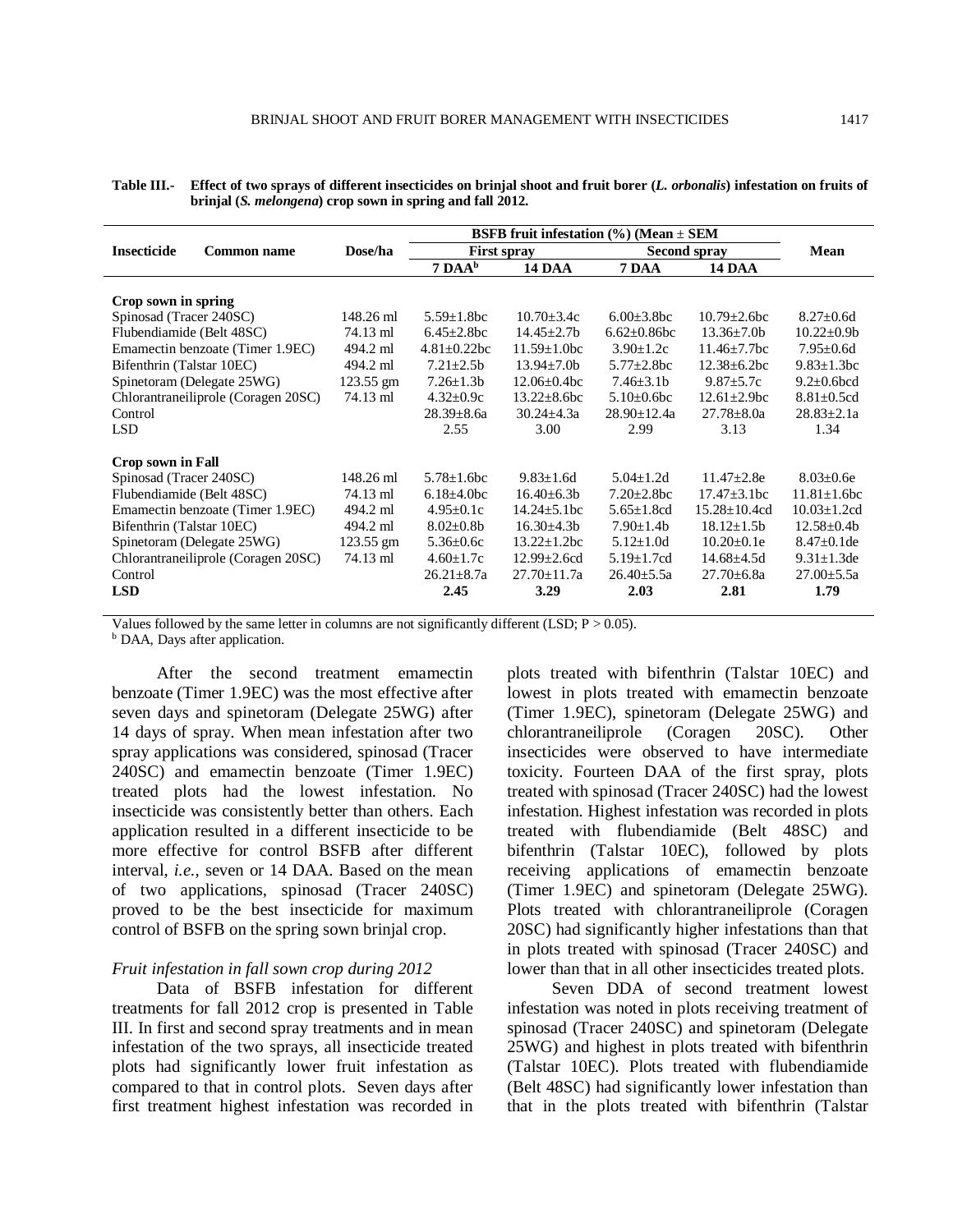**Table III.- Effect of two sprays of different insecticides on brinjal shoot and fruit borer (***L. orbonalis***) infestation on fruits of brinjal (***S. melongena***) crop sown in spring and fall 2012.**

|                                           |           | BSFB fruit infestation $(\% )$ (Mean $\pm$ SEM |                    |                    |                     |                    |
|-------------------------------------------|-----------|------------------------------------------------|--------------------|--------------------|---------------------|--------------------|
| <b>Insecticide</b><br><b>Common name</b>  | Dose/ha   | <b>First spray</b>                             |                    | Second spray       |                     | Mean               |
|                                           |           | 7 DAA <sup>b</sup>                             | <b>14 DAA</b>      | 7 DAA              | <b>14 DAA</b>       |                    |
|                                           |           |                                                |                    |                    |                     |                    |
| Crop sown in spring                       |           |                                                |                    |                    |                     |                    |
| Spinosad (Tracer 240SC)                   | 148.26 ml | $5.59 + 1.8$ bc                                | $10.70 + 3.4c$     | $6.00 + 3.8$ bc    | $10.79 + 2.6$ bc    | $8.27 \pm 0.6d$    |
| Flubendiamide (Belt 48SC)                 | 74.13 ml  | $6.45 \pm 2.8$ bc                              | $14.45 \pm 2.7b$   | $6.62 \pm 0.86$ bc | $13.36 \pm 7.0 b$   | $10.22 \pm 0.9b$   |
| Emamectin benzoate (Timer 1.9EC)          | 494.2 ml  | $4.81 \pm 0.22$ bc                             | $11.59 + 1.0$ bc   | $3.90 \pm 1.2c$    | $11.46 + 7.7$ bc    | $7.95 \pm 0.6d$    |
| Bifenthrin (Talstar 10EC)                 | 494.2 ml  | $7.21 \pm 2.5b$                                | $13.94 \pm 7.0b$   | $5.77 \pm 2.8$ bc  | $12.38 \pm 6.2$ bc  | $9.83 \pm 1.3$ bc  |
| Spinetoram (Delegate 25WG)                | 123.55 gm | $7.26 \pm 1.3b$                                | $12.06 \pm 0.4$ bc | $7.46 \pm 3.1$     | $9.87 \pm 5.7c$     | $9.2 \pm 0.6$ bcd  |
| Chlorantraneiliprole (Coragen 20SC)       | 74.13 ml  | $4.32 \pm 0.9c$                                | $13.22 \pm 8.6$ bc | $5.10\pm0.6$ bc    | $12.61 \pm 2.9$ bc  | $8.81 \pm 0.5$ cd  |
| Control                                   |           | $28.39 \pm 8.6a$                               | $30.24 \pm 4.3a$   | $28.90 \pm 12.4a$  | $27.78 \pm 8.0a$    | $28.83 \pm 2.1a$   |
| <b>LSD</b>                                |           | 2.55                                           | 3.00               | 2.99               | 3.13                | 1.34               |
| <b>Crop sown in Fall</b>                  |           |                                                |                    |                    |                     |                    |
| Spinosad (Tracer 240SC)                   | 148.26 ml | $5.78 \pm 1.6$ bc                              | $9.83 \pm 1.6d$    | $5.04 \pm 1.2$ d   | $11.47 \pm 2.8$ e   | $8.03 \pm 0.6e$    |
| Flubendiamide (Belt 48SC)                 | 74.13 ml  | $6.18{\pm}4.0bc$                               | $16.40\pm 6.3b$    | $7.20 \pm 2.8$ bc  | $17.47 \pm 3.1$ bc  | $11.81 \pm 1.6$ bc |
| Emamectin benzoate (Timer 1.9EC)          | 494.2 ml  | $4.95 \pm 0.1c$                                | $14.24 \pm 5.1$ bc | $5.65 \pm 1.8$ cd  | $15.28 \pm 10.4$ cd | $10.03 \pm 1.2$ cd |
| Bifenthrin (Talstar 10EC)                 | 494.2 ml  | $8.02 \pm 0.8$                                 | $16.30 \pm 4.3b$   | $7.90 \pm 1.4$ b   | $18.12 \pm 1.5b$    | $12.58 \pm 0.4b$   |
| Spinetoram (Delegate 25WG)<br>$123.55$ gm |           | $5.36 \pm 0.6c$                                | $13.22 \pm 1.2$ bc | $5.12 \pm 1.0d$    | $10.20 \pm 0.1e$    | $8.47 \pm 0.1$ de  |
| Chlorantraneiliprole (Coragen 20SC)       | 74.13 ml  | $4.60 \pm 1.7c$                                | $12.99 \pm 2.6$ cd | $5.19 \pm 1.7$ cd  | $14.68 \pm 4.5d$    | $9.31 \pm 1.3$ de  |
| Control                                   |           | $26.21 \pm 8.7a$                               | $27.70 \pm 11.7a$  | $26.40 \pm 5.5a$   | $27.70 \pm 6.8a$    | $27.00 \pm 5.5a$   |
| <b>LSD</b>                                |           | 2.45                                           | 3.29               | 2.03               | 2.81                | 1.79               |

Values followed by the same letter in columns are not significantly different (LSD;  $P > 0.05$ ).

**b** DAA, Days after application.

After the second treatment emamectin benzoate (Timer 1.9EC) was the most effective after seven days and spinetoram (Delegate 25WG) after 14 days of spray. When mean infestation after two spray applications was considered, spinosad (Tracer 240SC) and emamectin benzoate (Timer 1.9EC) treated plots had the lowest infestation. No insecticide was consistently better than others. Each application resulted in a different insecticide to be more effective for control BSFB after different interval, *i.e.,* seven or 14 DAA. Based on the mean of two applications, spinosad (Tracer 240SC) proved to be the best insecticide for maximum control of BSFB on the spring sown brinjal crop.

### *Fruit infestation in fall sown crop during 2012*

Data of BSFB infestation for different treatments for fall 2012 crop is presented in Table III. In first and second spray treatments and in mean infestation of the two sprays, all insecticide treated plots had significantly lower fruit infestation as compared to that in control plots. Seven days after first treatment highest infestation was recorded in

plots treated with bifenthrin (Talstar 10EC) and lowest in plots treated with emamectin benzoate (Timer 1.9EC), spinetoram (Delegate 25WG) and chlorantraneiliprole (Coragen 20SC). Other insecticides were observed to have intermediate toxicity. Fourteen DAA of the first spray, plots treated with spinosad (Tracer 240SC) had the lowest infestation. Highest infestation was recorded in plots treated with flubendiamide (Belt 48SC) and bifenthrin (Talstar 10EC), followed by plots receiving applications of emamectin benzoate (Timer 1.9EC) and spinetoram (Delegate 25WG). Plots treated with chlorantraneiliprole (Coragen 20SC) had significantly higher infestations than that in plots treated with spinosad (Tracer 240SC) and lower than that in all other insecticides treated plots.

Seven DDA of second treatment lowest infestation was noted in plots receiving treatment of spinosad (Tracer 240SC) and spinetoram (Delegate 25WG) and highest in plots treated with bifenthrin (Talstar 10EC). Plots treated with flubendiamide (Belt 48SC) had significantly lower infestation than that in the plots treated with bifenthrin (Talstar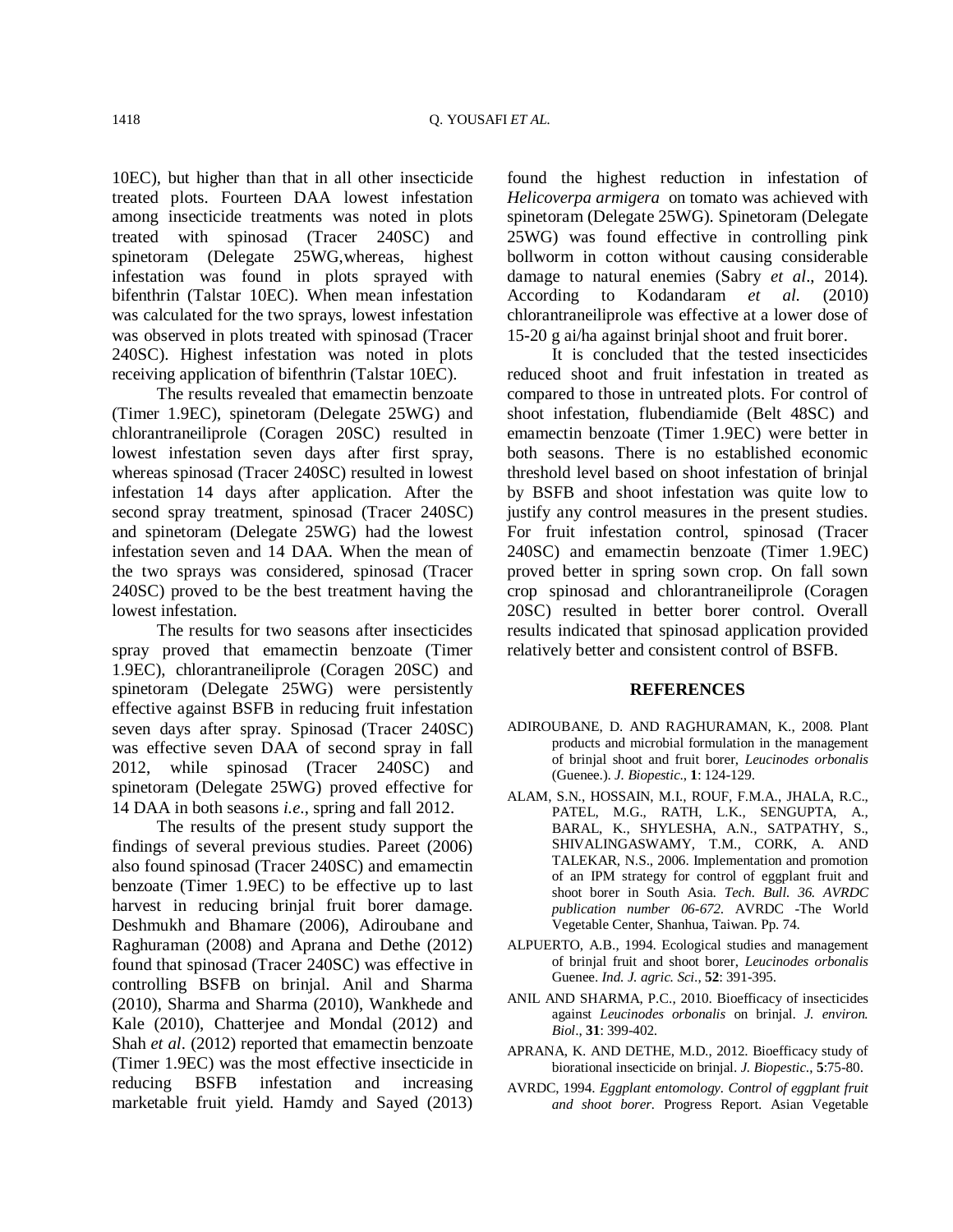10EC), but higher than that in all other insecticide treated plots. Fourteen DAA lowest infestation among insecticide treatments was noted in plots treated with spinosad (Tracer 240SC) and spinetoram (Delegate 25WG,whereas, highest infestation was found in plots sprayed with bifenthrin (Talstar 10EC). When mean infestation was calculated for the two sprays, lowest infestation was observed in plots treated with spinosad (Tracer 240SC). Highest infestation was noted in plots receiving application of bifenthrin (Talstar 10EC).

The results revealed that emamectin benzoate (Timer 1.9EC), spinetoram (Delegate 25WG) and chlorantraneiliprole (Coragen 20SC) resulted in lowest infestation seven days after first spray, whereas spinosad (Tracer 240SC) resulted in lowest infestation 14 days after application. After the second spray treatment, spinosad (Tracer 240SC) and spinetoram (Delegate 25WG) had the lowest infestation seven and 14 DAA. When the mean of the two sprays was considered, spinosad (Tracer 240SC) proved to be the best treatment having the lowest infestation.

The results for two seasons after insecticides spray proved that emamectin benzoate (Timer 1.9EC), chlorantraneiliprole (Coragen 20SC) and spinetoram (Delegate 25WG) were persistently effective against BSFB in reducing fruit infestation seven days after spray. Spinosad (Tracer 240SC) was effective seven DAA of second spray in fall 2012, while spinosad (Tracer 240SC) and spinetoram (Delegate 25WG) proved effective for 14 DAA in both seasons *i.e*., spring and fall 2012.

The results of the present study support the findings of several previous studies. Pareet (2006) also found spinosad (Tracer 240SC) and emamectin benzoate (Timer 1.9EC) to be effective up to last harvest in reducing brinjal fruit borer damage. Deshmukh and Bhamare (2006), Adiroubane and Raghuraman (2008) and Aprana and Dethe (2012) found that spinosad (Tracer 240SC) was effective in controlling BSFB on brinjal. Anil and Sharma (2010), Sharma and Sharma (2010), Wankhede and Kale (2010), Chatterjee and Mondal (2012) and Shah *et al*. (2012) reported that emamectin benzoate (Timer 1.9EC) was the most effective insecticide in reducing BSFB infestation and increasing marketable fruit yield. Hamdy and Sayed (2013) found the highest reduction in infestation of *Helicoverpa armigera* on tomato was achieved with spinetoram (Delegate 25WG). Spinetoram (Delegate 25WG) was found effective in controlling pink bollworm in cotton without causing considerable damage to natural enemies (Sabry *et al*., 2014). According to Kodandaram *et al.* (2010) chlorantraneiliprole was effective at a lower dose of 15-20 g ai/ha against brinjal shoot and fruit borer.

It is concluded that the tested insecticides reduced shoot and fruit infestation in treated as compared to those in untreated plots. For control of shoot infestation, flubendiamide (Belt 48SC) and emamectin benzoate (Timer 1.9EC) were better in both seasons. There is no established economic threshold level based on shoot infestation of brinjal by BSFB and shoot infestation was quite low to justify any control measures in the present studies. For fruit infestation control, spinosad (Tracer 240SC) and emamectin benzoate (Timer 1.9EC) proved better in spring sown crop. On fall sown crop spinosad and chlorantraneiliprole (Coragen 20SC) resulted in better borer control. Overall results indicated that spinosad application provided relatively better and consistent control of BSFB.

#### **REFERENCES**

- ADIROUBANE, D. AND RAGHURAMAN, K., 2008. Plant products and microbial formulation in the management of brinjal shoot and fruit borer, *Leucinodes orbonalis* (Guenee.). *J. Biopestic*., **1**: 124-129.
- ALAM, S.N., HOSSAIN, M.I., ROUF, F.M.A., JHALA, R.C., PATEL, M.G., RATH, L.K., SENGUPTA, A., BARAL, K., SHYLESHA, A.N., SATPATHY, S., SHIVALINGASWAMY, T.M., CORK, A. AND TALEKAR, N.S., 2006. Implementation and promotion of an IPM strategy for control of eggplant fruit and shoot borer in South Asia. *Tech. Bull. 36. AVRDC publication number 06-672*. AVRDC -The World Vegetable Center, Shanhua, Taiwan. Pp. 74.
- ALPUERTO, A.B., 1994. Ecological studies and management of brinjal fruit and shoot borer, *Leucinodes orbonalis*  Guenee. *Ind. J. agric. Sci*., **52**: 391-395.
- ANIL AND SHARMA, P.C., 2010. Bioefficacy of insecticides against *Leucinodes orbonalis* on brinjal. *J. environ. Biol*., **31**: 399-402.
- APRANA, K. AND DETHE, M.D., 2012. Bioefficacy study of biorational insecticide on brinjal. *J. Biopestic*., **5**:75-80.
- AVRDC, 1994. *Eggplant entomology. Control of eggplant fruit and shoot borer.* Progress Report. Asian Vegetable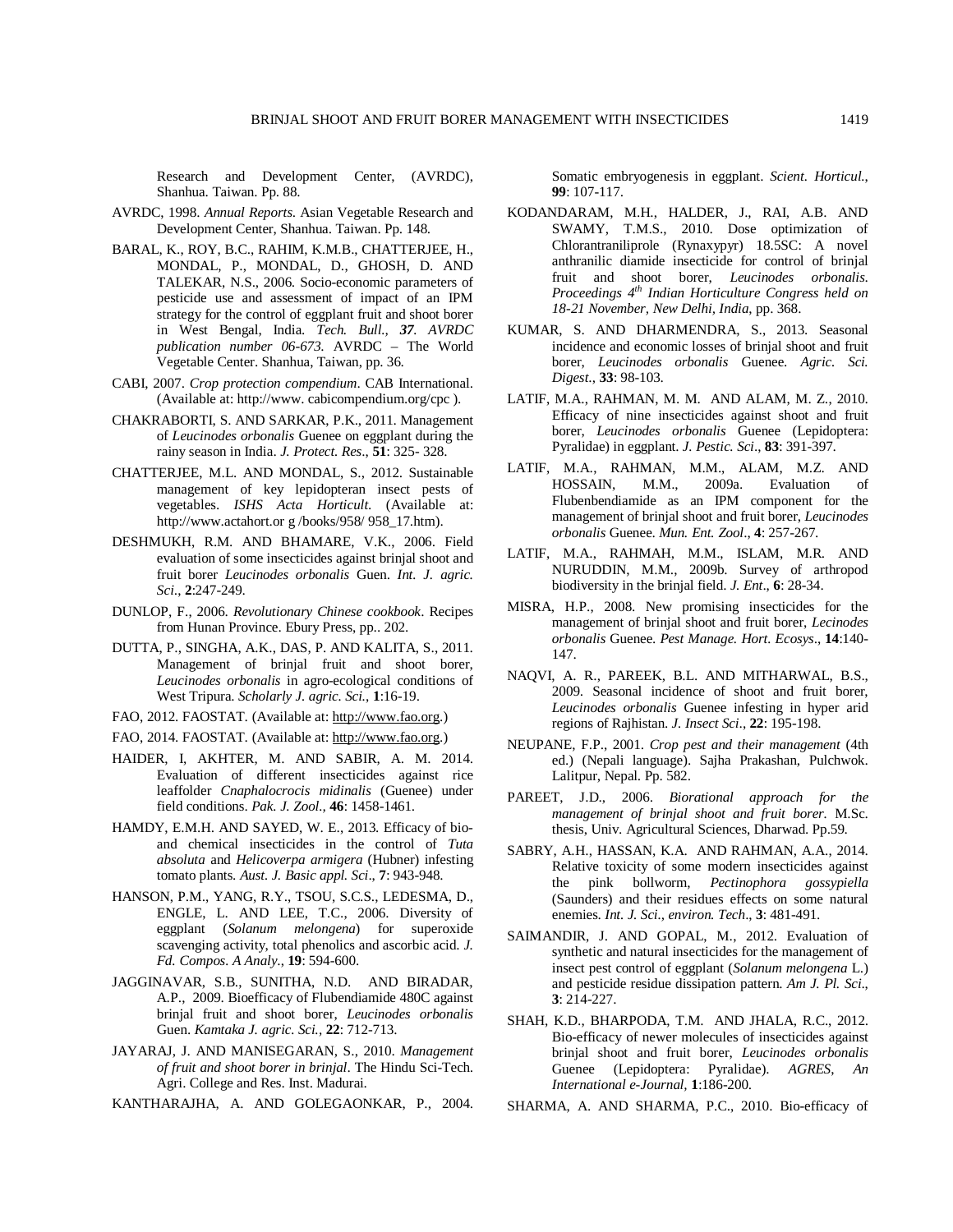Research and Development Center, (AVRDC), Shanhua. Taiwan. Pp. 88.

- AVRDC, 1998. *Annual Reports*. Asian Vegetable Research and Development Center, Shanhua. Taiwan. Pp. 148.
- BARAL, K., ROY, B.C., RAHIM, K.M.B., CHATTERJEE, H., MONDAL, P., MONDAL, D., GHOSH, D. AND TALEKAR, N.S., 2006. Socio-economic parameters of pesticide use and assessment of impact of an IPM strategy for the control of eggplant fruit and shoot borer in West Bengal, India. *Tech. Bull., 37. AVRDC publication number 06-673*. AVRDC – The World Vegetable Center. Shanhua, Taiwan, pp. 36.
- CABI, 2007. *Crop protection compendium*. CAB International. (Available at: http://www. cabicompendium.org/cpc ).
- CHAKRABORTI, S. AND SARKAR, P.K., 2011. Management of *Leucinodes orbonalis* Guenee on eggplant during the rainy season in India. *J. Protect. Res*., **51**: 325- 328.
- CHATTERJEE, M.L. AND MONDAL, S., 2012. Sustainable management of key lepidopteran insect pests of vegetables. *ISHS Acta Horticult*. (Available at: http://www.actahort.or g /books/958/ 958\_17.htm).
- DESHMUKH, R.M. AND BHAMARE, V.K., 2006. Field evaluation of some insecticides against brinjal shoot and fruit borer *Leucinodes orbonalis* Guen. *Int. J. agric. Sci*., **2**:247-249.
- DUNLOP, F., 2006. *Revolutionary Chinese cookbook*. Recipes from Hunan Province. Ebury Press, pp.. 202.
- DUTTA, P., SINGHA, A.K., DAS, P. AND KALITA, S., 2011. Management of brinjal fruit and shoot borer, *Leucinodes orbonalis* in agro-ecological conditions of West Tripura. *Scholarly J. agric. Sci.*, **1**:16-19.
- FAO, 2012. FAOSTAT. (Available at: http://www.fao.org.)
- FAO, 2014. FAOSTAT. (Available at: http://www.fao.org.)
- HAIDER, I, AKHTER, M. AND SABIR, A. M. 2014. Evaluation of different insecticides against rice leaffolder *Cnaphalocrocis midinalis* (Guenee) under field conditions. *Pak. J. Zool.,* **46**: 1458-1461.
- HAMDY, E.M.H. AND SAYED, W. E., 2013. Efficacy of bioand chemical insecticides in the control of *Tuta absoluta* and *Helicoverpa armigera* (Hubner) infesting tomato plants. *Aust. J. Basic appl. Sci*., **7**: 943-948.
- HANSON, P.M., YANG, R.Y., TSOU, S.C.S., LEDESMA, D., ENGLE, L. AND LEE, T.C., 2006. Diversity of eggplant (*Solanum melongena*) for superoxide scavenging activity, total phenolics and ascorbic acid. *J. Fd. Compos. A Analy*., **19**: 594-600.
- JAGGINAVAR, S.B., SUNITHA, N.D. AND BIRADAR, A.P., 2009. Bioefficacy of Flubendiamide 480C against brinjal fruit and shoot borer, *Leucinodes orbonalis* Guen. *Kamtaka J. agric. Sci.,* **22**: 712-713.
- JAYARAJ, J. AND MANISEGARAN, S., 2010. *Management of fruit and shoot borer in brinjal*. The Hindu Sci-Tech. Agri. College and Res. Inst. Madurai.
- KANTHARAJHA, A. AND GOLEGAONKAR, P., 2004.

Somatic embryogenesis in eggplant. *Scient. Horticul.*, **99**: 107-117.

- KODANDARAM, M.H., HALDER, J., RAI, A.B. AND SWAMY, T.M.S., 2010. Dose optimization of Chlorantraniliprole (Rynaxypyr) 18.5SC: A novel anthranilic diamide insecticide for control of brinjal fruit and shoot borer, *Leucinodes orbonalis*. *Proceedings 4th Indian Horticulture Congress held on 18-21 November, New Delhi, India*, pp. 368.
- KUMAR, S. AND DHARMENDRA, S., 2013. Seasonal incidence and economic losses of brinjal shoot and fruit borer, *Leucinodes orbonalis* Guenee. *Agric. Sci. Digest*., **33**: 98-103.
- LATIF, M.A., RAHMAN, M. M. AND ALAM, M. Z., 2010. Efficacy of nine insecticides against shoot and fruit borer, *Leucinodes orbonalis* Guenee (Lepidoptera: Pyralidae) in eggplant. *J. Pestic. Sci*., **83**: 391-397.
- LATIF, M.A., RAHMAN, M.M., ALAM, M.Z. AND HOSSAIN, M.M., 2009a. Evaluation of Flubenbendiamide as an IPM component for the management of brinjal shoot and fruit borer, *Leucinodes orbonalis* Guenee. *Mun. Ent. Zool*., **4**: 257-267.
- LATIF, M.A., RAHMAH, M.M., ISLAM, M.R. AND NURUDDIN, M.M., 2009b. Survey of arthropod biodiversity in the brinjal field. *J. Ent*., **6**: 28-34.
- MISRA, H.P., 2008. New promising insecticides for the management of brinjal shoot and fruit borer, *Lecinodes orbonalis* Guenee. *Pest Manage. Hort. Ecosys*., **14**:140- 147.
- NAQVI, A. R., PAREEK, B.L. AND MITHARWAL, B.S., 2009. Seasonal incidence of shoot and fruit borer, *Leucinodes orbonalis* Guenee infesting in hyper arid regions of Rajhistan. *J. Insect Sci*., **22**: 195-198.
- NEUPANE, F.P., 2001. *Crop pest and their management* (4th ed.) (Nepali language). Sajha Prakashan, Pulchwok. Lalitpur, Nepal. Pp. 582.
- PAREET, J.D., 2006. *Biorational approach for the management of brinjal shoot and fruit borer.* M.Sc. thesis, Univ. Agricultural Sciences, Dharwad. Pp.59.
- SABRY, A.H., HASSAN, K.A. AND RAHMAN, A.A., 2014. Relative toxicity of some modern insecticides against the pink bollworm, *Pectinophora gossypiella* (Saunders) and their residues effects on some natural enemies. *Int. J. Sci., environ. Tech*., **3**: 481-491.
- SAIMANDIR, J. AND GOPAL, M., 2012. Evaluation of synthetic and natural insecticides for the management of insect pest control of eggplant (*Solanum melongena* L.) and pesticide residue dissipation pattern. *Am J. Pl. Sci*., **3**: 214-227.
- SHAH, K.D., BHARPODA, T.M. AND JHALA, R.C., 2012. Bio-efficacy of newer molecules of insecticides against brinjal shoot and fruit borer, *Leucinodes orbonalis*  Guenee (Lepidoptera: Pyralidae). *AGRES*, *An International e-Journal,* **1**:186-200.
- SHARMA, A. AND SHARMA, P.C., 2010. Bio-efficacy of